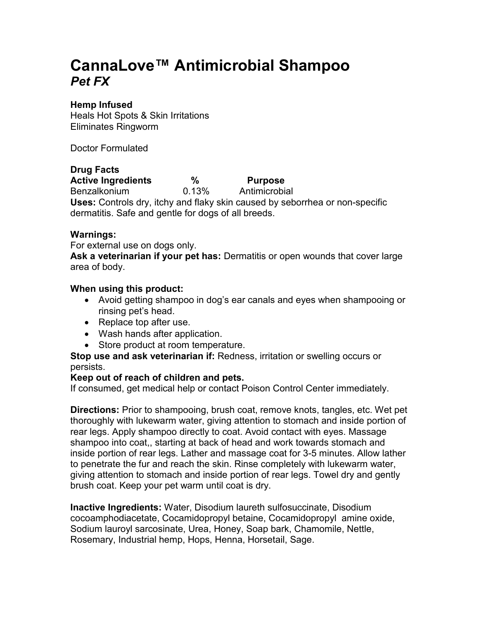# **CannaLove™ Antimicrobial Shampoo**  *Pet FX*

# **Hemp Infused**

Heals Hot Spots & Skin Irritations Eliminates Ringworm

Doctor Formulated

# **Drug Facts**

Active Ingredients  $\%$  Purpose Benzalkonium 0.13% Antimicrobial **Uses:** Controls dry, itchy and flaky skin caused by seborrhea or non-specific dermatitis. Safe and gentle for dogs of all breeds.

# **Warnings:**

For external use on dogs only.

**Ask a veterinarian if your pet has:** Dermatitis or open wounds that cover large area of body.

#### **When using this product:**

- Avoid getting shampoo in dog's ear canals and eyes when shampooing or rinsing pet's head.
- Replace top after use.
- Wash hands after application.
- Store product at room temperature.

**Stop use and ask veterinarian if:** Redness, irritation or swelling occurs or persists.

#### **Keep out of reach of children and pets.**

If consumed, get medical help or contact Poison Control Center immediately.

**Directions:** Prior to shampooing, brush coat, remove knots, tangles, etc. Wet pet thoroughly with lukewarm water, giving attention to stomach and inside portion of rear legs. Apply shampoo directly to coat. Avoid contact with eyes. Massage shampoo into coat,, starting at back of head and work towards stomach and inside portion of rear legs. Lather and massage coat for 3-5 minutes. Allow lather to penetrate the fur and reach the skin. Rinse completely with lukewarm water, giving attention to stomach and inside portion of rear legs. Towel dry and gently brush coat. Keep your pet warm until coat is dry.

**Inactive Ingredients:** Water, Disodium laureth sulfosuccinate, Disodium cocoamphodiacetate, Cocamidopropyl betaine, Cocamidopropyl amine oxide, Sodium lauroyl sarcosinate, Urea, Honey, Soap bark, Chamomile, Nettle, Rosemary, Industrial hemp, Hops, Henna, Horsetail, Sage.